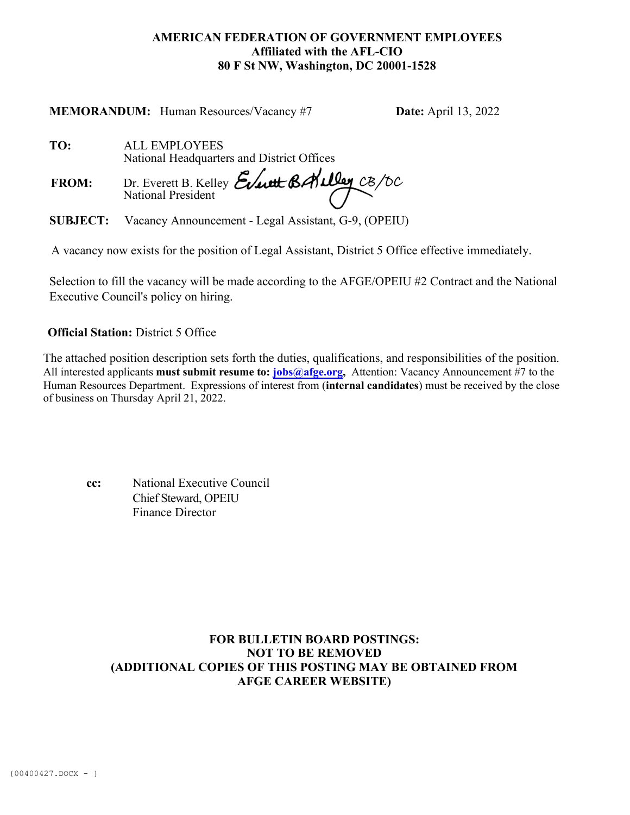### **AMERICAN FEDERATION OF GOVERNMENT EMPLOYEES Affiliated with the AFL-CIO 80 F St NW, Washington, DC 20001-1528**

**MEMORANDUM:** Human Resources/Vacancy #7 **Date:** April 13, 2022

 **TO:** ALL EMPLOYEES National Headquarters and District Offices

FROM: Dr. Everett B. Kelley Event BAulley CB/DC

 **SUBJECT:** Vacancy Announcement - Legal Assistant, G-9, (OPEIU)

A vacancy now exists for the position of Legal Assistant, District 5 Office effective immediately.

Selection to fill the vacancy will be made according to the AFGE/OPEIU #2 Contract and the National Executive Council's policy on hiring.

# **Official Station:** District 5 Office

The attached position description sets forth the duties, qualifications, and responsibilities of the position. All interested applicants **must submit resume to: [jobs@afge.org,](mailto:jobs@afge.org)** Attention: Vacancy Announcement #7 to the Human Resources Department. Expressions of interest from (**internal candidates**) must be received by the close of business on Thursday April 21, 2022.

| cc: | National Executive Council |
|-----|----------------------------|
|     | Chief Steward, OPEIU       |
|     | Finance Director           |

## **FOR BULLETIN BOARD POSTINGS: NOT TO BE REMOVED (ADDITIONAL COPIES OF THIS POSTING MAY BE OBTAINED FROM AFGE CAREER WEBSITE)**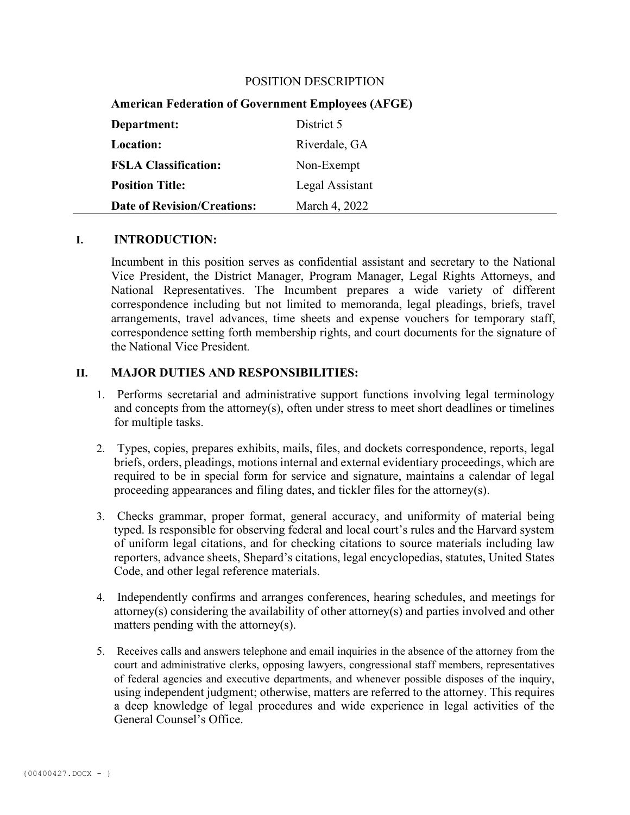#### POSITION DESCRIPTION

|  | <b>American Federation of Government Employees (AFGE)</b> |  |  |  |  |  |
|--|-----------------------------------------------------------|--|--|--|--|--|
|--|-----------------------------------------------------------|--|--|--|--|--|

| Department:                        | District 5      |
|------------------------------------|-----------------|
| <b>Location:</b>                   | Riverdale, GA   |
| <b>FSLA Classification:</b>        | Non-Exempt      |
| <b>Position Title:</b>             | Legal Assistant |
| <b>Date of Revision/Creations:</b> | March 4, 2022   |

#### **I. INTRODUCTION:**

Incumbent in this position serves as confidential assistant and secretary to the National Vice President, the District Manager, Program Manager, Legal Rights Attorneys, and National Representatives. The Incumbent prepares a wide variety of different correspondence including but not limited to memoranda, legal pleadings, briefs, travel arrangements, travel advances, time sheets and expense vouchers for temporary staff, correspondence setting forth membership rights, and court documents for the signature of the National Vice President*.*

#### **II. MAJOR DUTIES AND RESPONSIBILITIES:**

- 1. Performs secretarial and administrative support functions involving legal terminology and concepts from the attorney(s), often under stress to meet short deadlines or timelines for multiple tasks.
- 2. Types, copies, prepares exhibits, mails, files, and dockets correspondence, reports, legal briefs, orders, pleadings, motions internal and external evidentiary proceedings, which are required to be in special form for service and signature, maintains a calendar of legal proceeding appearances and filing dates, and tickler files for the attorney(s).
- 3. Checks grammar, proper format, general accuracy, and uniformity of material being typed. Is responsible for observing federal and local court's rules and the Harvard system of uniform legal citations, and for checking citations to source materials including law reporters, advance sheets, Shepard's citations, legal encyclopedias, statutes, United States Code, and other legal reference materials.
- 4. Independently confirms and arranges conferences, hearing schedules, and meetings for attorney(s) considering the availability of other attorney(s) and parties involved and other matters pending with the attorney(s).
- 5. Receives calls and answers telephone and email inquiries in the absence of the attorney from the court and administrative clerks, opposing lawyers, congressional staff members, representatives of federal agencies and executive departments, and whenever possible disposes of the inquiry, using independent judgment; otherwise, matters are referred to the attorney. This requires a deep knowledge of legal procedures and wide experience in legal activities of the General Counsel's Office.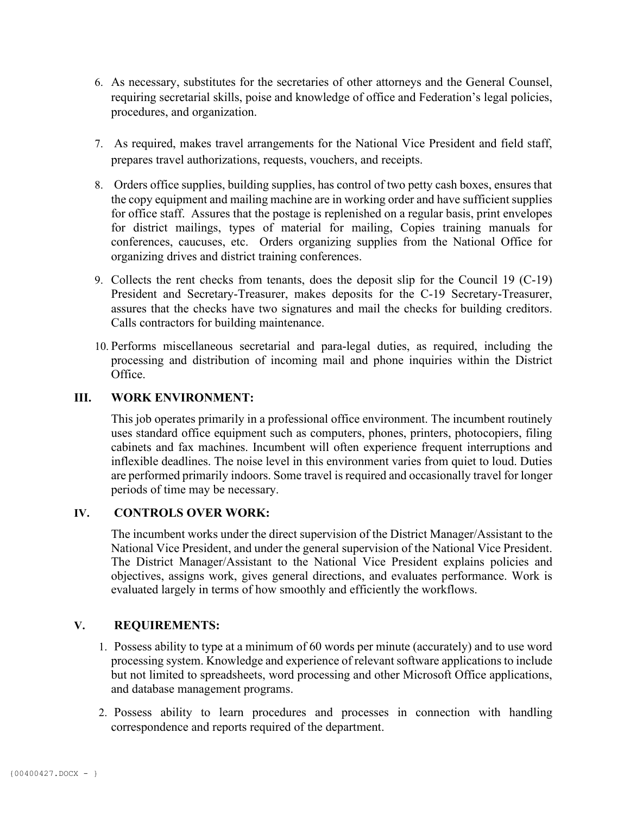- 6. As necessary, substitutes for the secretaries of other attorneys and the General Counsel, requiring secretarial skills, poise and knowledge of office and Federation's legal policies, procedures, and organization.
- 7. As required, makes travel arrangements for the National Vice President and field staff, prepares travel authorizations, requests, vouchers, and receipts.
- 8. Orders office supplies, building supplies, has control of two petty cash boxes, ensures that the copy equipment and mailing machine are in working order and have sufficient supplies for office staff. Assures that the postage is replenished on a regular basis, print envelopes for district mailings, types of material for mailing, Copies training manuals for conferences, caucuses, etc. Orders organizing supplies from the National Office for organizing drives and district training conferences.
- 9. Collects the rent checks from tenants, does the deposit slip for the Council 19 (C-19) President and Secretary-Treasurer, makes deposits for the C-19 Secretary-Treasurer, assures that the checks have two signatures and mail the checks for building creditors. Calls contractors for building maintenance.
- 10. Performs miscellaneous secretarial and para-legal duties, as required, including the processing and distribution of incoming mail and phone inquiries within the District Office.

### **III. WORK ENVIRONMENT:**

This job operates primarily in a professional office environment. The incumbent routinely uses standard office equipment such as computers, phones, printers, photocopiers, filing cabinets and fax machines. Incumbent will often experience frequent interruptions and inflexible deadlines. The noise level in this environment varies from quiet to loud. Duties are performed primarily indoors. Some travel is required and occasionally travel for longer periods of time may be necessary.

### **IV. CONTROLS OVER WORK:**

The incumbent works under the direct supervision of the District Manager/Assistant to the National Vice President, and under the general supervision of the National Vice President. The District Manager/Assistant to the National Vice President explains policies and objectives, assigns work, gives general directions, and evaluates performance. Work is evaluated largely in terms of how smoothly and efficiently the workflows.

### **V. REQUIREMENTS:**

- 1. Possess ability to type at a minimum of 60 words per minute (accurately) and to use word processing system. Knowledge and experience of relevant software applications to include but not limited to spreadsheets, word processing and other Microsoft Office applications, and database management programs.
- 2. Possess ability to learn procedures and processes in connection with handling correspondence and reports required of the department.